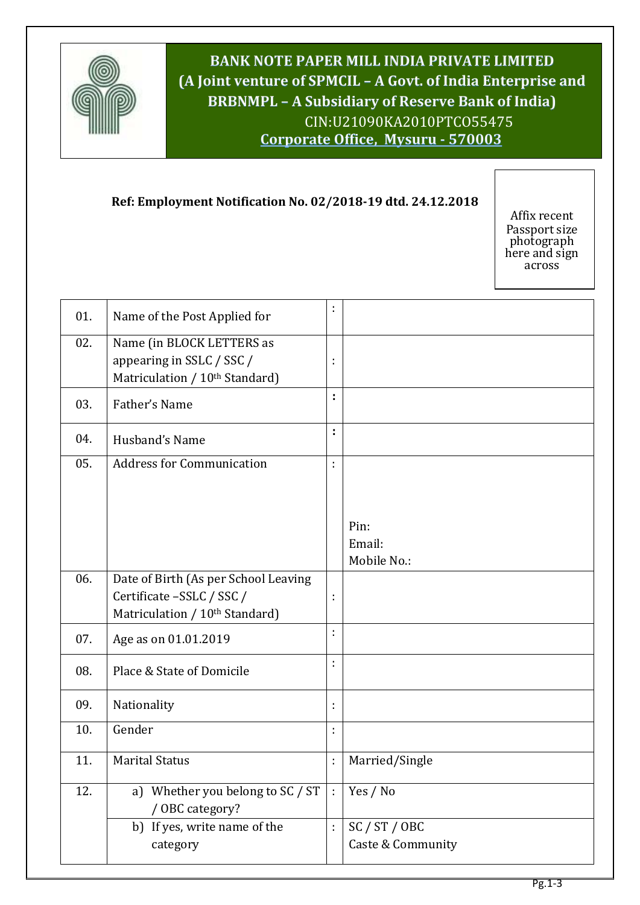

**BANK NOTE PAPER MILL INDIA PRIVATE LIMITED (A Joint venture of SPMCIL – A Govt. of India Enterprise and BRBNMPL – A Subsidiary of Reserve Bank of India)** CIN:U21090KA2010PTCO55475 **Corporate Office, Mysuru - 570003**

## **Ref: Employment Notification No. 02/2018-19 dtd. 24.12.2018**

**Bangalore 560 029Corporate Office, Bangalore 560 029**

Affix recent Passport size photograph here and sign across

| 01. | Name of the Post Applied for                                                                         | t  |                   |
|-----|------------------------------------------------------------------------------------------------------|----|-------------------|
| 02. | Name (in BLOCK LETTERS as<br>appearing in SSLC / SSC /<br>Matriculation / 10 <sup>th</sup> Standard) | ÷  |                   |
| 03. | Father's Name                                                                                        | ř. |                   |
| 04. | Husband's Name                                                                                       | ÷. |                   |
| 05. | <b>Address for Communication</b>                                                                     | ł. |                   |
|     |                                                                                                      |    |                   |
|     |                                                                                                      |    | Pin:              |
|     |                                                                                                      |    | Email:            |
|     |                                                                                                      |    | Mobile No.:       |
| 06. | Date of Birth (As per School Leaving                                                                 |    |                   |
|     | Certificate -SSLC / SSC /                                                                            | ÷  |                   |
|     | Matriculation / 10 <sup>th</sup> Standard)                                                           |    |                   |
| 07. | Age as on 01.01.2019                                                                                 | t  |                   |
| 08. | Place & State of Domicile                                                                            | ÷  |                   |
| 09. | Nationality                                                                                          | ÷  |                   |
| 10. | Gender                                                                                               | ř, |                   |
| 11. | <b>Marital Status</b>                                                                                | ÷. | Married/Single    |
| 12. | a) Whether you belong to SC / ST<br>/ OBC category?                                                  | ÷  | Yes / No          |
|     | b) If yes, write name of the                                                                         | ł. | SC / ST / OBC     |
|     | category                                                                                             |    | Caste & Community |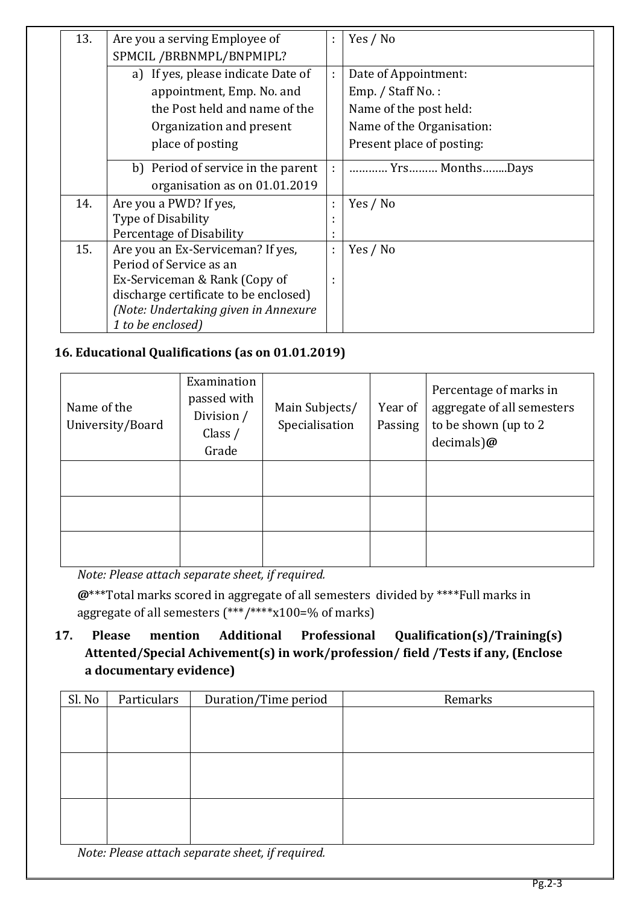| 13. | Are you a serving Employee of         | ÷      | Yes / No                  |
|-----|---------------------------------------|--------|---------------------------|
|     | SPMCIL/BRBNMPL/BNPMIPL?               |        |                           |
|     | a) If yes, please indicate Date of    | ÷      | Date of Appointment:      |
|     | appointment, Emp. No. and             |        | $Emp. / Staff No.$ :      |
|     | the Post held and name of the         |        | Name of the post held:    |
|     | Organization and present              |        | Name of the Organisation: |
|     | place of posting                      |        | Present place of posting: |
|     | b) Period of service in the parent    | ÷      | Yrs MonthsDays            |
|     | organisation as on 01.01.2019         |        |                           |
| 14. | Are you a PWD? If yes,                | ÷      | Yes / No                  |
|     | Type of Disability                    | ٠      |                           |
|     | Percentage of Disability              | ٠<br>٠ |                           |
| 15. | Are you an Ex-Serviceman? If yes,     | ÷      | Yes / No                  |
|     | Period of Service as an               |        |                           |
|     | Ex-Serviceman & Rank (Copy of         |        |                           |
|     | discharge certificate to be enclosed) |        |                           |
|     | (Note: Undertaking given in Annexure  |        |                           |
|     | 1 to be enclosed)                     |        |                           |

## **16. Educational Qualifications (as on 01.01.2019)**

| Name of the<br>University/Board | Examination<br>passed with<br>Division /<br>Class $/$<br>Grade | Main Subjects/<br>Specialisation | Year of<br>Passing | Percentage of marks in<br>aggregate of all semesters<br>to be shown (up to 2<br>$decimals)$ @ |
|---------------------------------|----------------------------------------------------------------|----------------------------------|--------------------|-----------------------------------------------------------------------------------------------|
|                                 |                                                                |                                  |                    |                                                                                               |
|                                 |                                                                |                                  |                    |                                                                                               |
|                                 |                                                                |                                  |                    |                                                                                               |

*Note: Please attach separate sheet, if required.*

**@**\*\*\*Total marks scored in aggregate of all semesters divided by \*\*\*\*Full marks in aggregate of all semesters (\*\*\*/\*\*\*\*x100=% of marks)

# **17. Please mention Additional Professional Qualification(s)/Training(s) Attented/Special Achivement(s) in work/profession/ field /Tests if any, (Enclose a documentary evidence)**

| Sl. No        | Particulars         | Duration/Time period<br>Remarks    |  |
|---------------|---------------------|------------------------------------|--|
|               |                     |                                    |  |
|               |                     |                                    |  |
|               |                     |                                    |  |
|               |                     |                                    |  |
|               |                     |                                    |  |
|               |                     |                                    |  |
|               |                     |                                    |  |
| $\sim$ $\sim$ | $ -$<br><b>1999</b> | $\sim$ $\sim$ $\sim$ $\sim$ $\sim$ |  |

*Note: Please attach separate sheet, if required.*